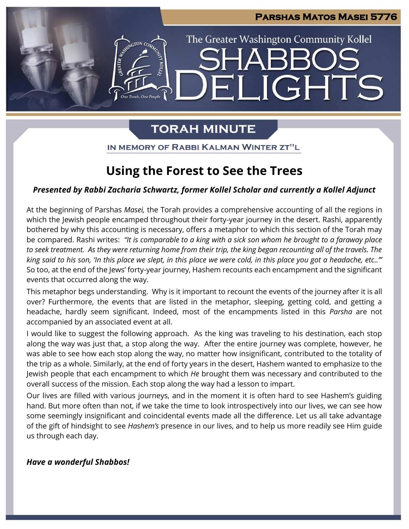**IGHTS** 

The Greater Washington Community Kollel

# **TORAH MINUTE**

IN MEMORY OF RABBI KALMAN WINTER ZT"L

# **Using the Forest to See the Trees**

# *Presented by Rabbi Zacharia Schwartz, former Kollel Scholar and currently a Kollel Adjunct*

At the beginning of Parshas *Masei,* the Torah provides a comprehensive accounting of all the regions in which the Jewish people encamped throughout their forty-year journey in the desert. Rashi, apparently bothered by why this accounting is necessary, offers a metaphor to which this section of the Torah may be compared. Rashi writes: *"It is comparable to a king with a sick son whom he brought to a faraway place to seek treatment. As they were returning home from their trip, the king began recounting all of the travels. The king said to his son, 'In this place we slept, in this place we were cold, in this place you got a headache, etc..'"*  So too, at the end of the Jews' forty-year journey, Hashem recounts each encampment and the significant events that occurred along the way.

This metaphor begs understanding. Why is it important to recount the events of the journey after it is all over? Furthermore, the events that are listed in the metaphor, sleeping, getting cold, and getting a headache, hardly seem significant. Indeed, most of the encampments listed in this *Parsha* are not accompanied by an associated event at all.

I would like to suggest the following approach. As the king was traveling to his destination, each stop along the way was just that, a stop along the way. After the entire journey was complete, however, he was able to see how each stop along the way, no matter how insignificant, contributed to the totality of the trip as a whole. Similarly, at the end of forty years in the desert, Hashem wanted to emphasize to the Jewish people that each encampment to which *He* brought them was necessary and contributed to the overall success of the mission. Each stop along the way had a lesson to impart.

Our lives are filled with various journeys, and in the moment it is often hard to see Hashem's guiding hand. But more often than not, if we take the time to look introspectively into our lives, we can see how some seemingly insignificant and coincidental events made all the difference. Let us all take advantage of the gift of hindsight to see *Hashem's* presence in our lives, and to help us more readily see Him guide us through each day.

## *Have a wonderful Shabbos!*